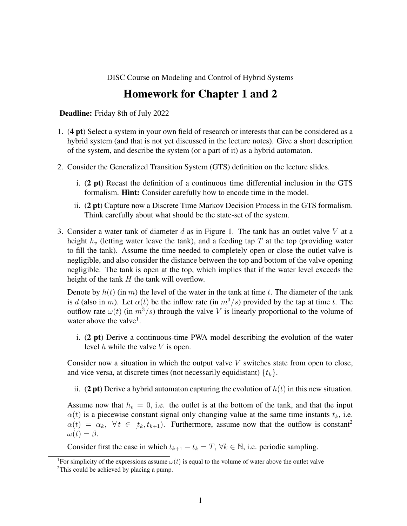DISC Course on Modeling and Control of Hybrid Systems

## Homework for Chapter 1 and 2

Deadline: Friday 8th of July 2022

- 1. (4 pt) Select a system in your own field of research or interests that can be considered as a hybrid system (and that is not yet discussed in the lecture notes). Give a short description of the system, and describe the system (or a part of it) as a hybrid automaton.
- 2. Consider the Generalized Transition System (GTS) definition on the lecture slides.
	- i. (2 pt) Recast the definition of a continuous time differential inclusion in the GTS formalism. Hint: Consider carefully how to encode time in the model.
	- ii. (2 pt) Capture now a Discrete Time Markov Decision Process in the GTS formalism. Think carefully about what should be the state-set of the system.
- 3. Consider a water tank of diameter  $d$  as in Figure 1. The tank has an outlet valve  $V$  at a height  $h<sub>v</sub>$  (letting water leave the tank), and a feeding tap T at the top (providing water to fill the tank). Assume the time needed to completely open or close the outlet valve is negligible, and also consider the distance between the top and bottom of the valve opening negligible. The tank is open at the top, which implies that if the water level exceeds the height of the tank  $H$  the tank will overflow.

Denote by  $h(t)$  (in m) the level of the water in the tank at time t. The diameter of the tank is d (also in m). Let  $\alpha(t)$  be the inflow rate (in  $m^3/s$ ) provided by the tap at time t. The outflow rate  $\omega(t)$  (in  $m^3/s$ ) through the valve V is linearly proportional to the volume of water above the valve<sup>1</sup>.

i. (2 pt) Derive a continuous-time PWA model describing the evolution of the water level  $h$  while the valve  $V$  is open.

Consider now a situation in which the output valve  $V$  switches state from open to close, and vice versa, at discrete times (not necessarily equidistant)  $\{t_k\}$ .

ii. (2 pt) Derive a hybrid automaton capturing the evolution of  $h(t)$  in this new situation.

Assume now that  $h_v = 0$ , i.e. the outlet is at the bottom of the tank, and that the input  $\alpha(t)$  is a piecewise constant signal only changing value at the same time instants  $t_k$ , i.e.  $\alpha(t) = \alpha_k$ ,  $\forall t \in [t_k, t_{k+1})$ . Furthermore, assume now that the outflow is constant<sup>2</sup>  $\omega(t) = \beta.$ 

Consider first the case in which  $t_{k+1} - t_k = T$ ,  $\forall k \in \mathbb{N}$ , i.e. periodic sampling.

<sup>&</sup>lt;sup>1</sup>For simplicity of the expressions assume  $\omega(t)$  is equal to the volume of water above the outlet valve

<sup>&</sup>lt;sup>2</sup>This could be achieved by placing a pump.